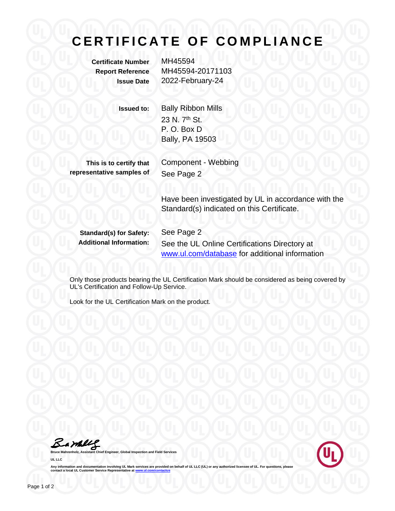## **CERTIFICATE OF COMPLIANCE**

**Certificate Number** MH45594

**Report Reference** MH45594-20171103 **Issue Date** 2022-February-24

**Issued to:** Bally Ribbon Mills 23 N. 7<sup>th</sup> St. P. O. Box D Bally, PA 19503

**This is to certify that representative samples of** Component - Webbing See Page 2

Have been investigated by UL in accordance with the Standard(s) indicated on this Certificate.

**Standard(s) for Safety:** See Page 2

**Additional Information:** See the UL Online Certifications Directory at [www.ul.com/database](http://www.ul.com/database) for additional information

Only those products bearing the UL Certification Mark should be considered as being covered by UL's Certification and Follow-Up Service.

Look for the UL Certification Mark on the product.

Barkey

**Bruce Bruce Manneer, Global Inspection and Field Services UL LLC**



Any information and documentation involving UL Mark services are provided on behalf of UL LLC (UL) or any authorized licensee of UL. For questions, please<br>contact a local UL Customer Service Representative at <u>www.ul.com/c</u>